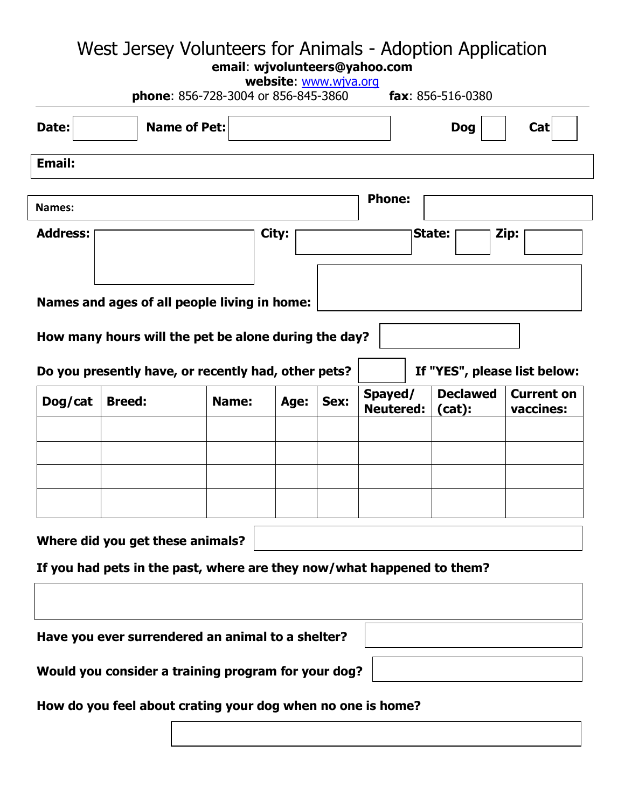## West Jersey Volunteers for Animals - Adoption Application

**email**: **wjvolunteers@yahoo.com**

| website: www.wjva.org<br><b>phone: 856-728-3004 or 856-845-3860</b><br>fax: $856 - 516 - 0380$ |               |       |       |      |                             |  |                           |                                |  |  |
|------------------------------------------------------------------------------------------------|---------------|-------|-------|------|-----------------------------|--|---------------------------|--------------------------------|--|--|
| Date:<br><b>Name of Pet:</b>                                                                   |               |       |       |      | Cat<br><b>Dog</b>           |  |                           |                                |  |  |
| <b>Email:</b>                                                                                  |               |       |       |      |                             |  |                           |                                |  |  |
| Names:                                                                                         |               |       |       |      | <b>Phone:</b>               |  |                           |                                |  |  |
| <b>Address:</b>                                                                                |               |       | City: |      |                             |  | State:                    | Zip:                           |  |  |
| Names and ages of all people living in home:                                                   |               |       |       |      |                             |  |                           |                                |  |  |
| How many hours will the pet be alone during the day?                                           |               |       |       |      |                             |  |                           |                                |  |  |
| If "YES", please list below:<br>Do you presently have, or recently had, other pets?            |               |       |       |      |                             |  |                           |                                |  |  |
| Dog/cat                                                                                        | <b>Breed:</b> | Name: | Age:  | Sex: | Spayed/<br><b>Neutered:</b> |  | <b>Declawed</b><br>(cat): | <b>Current on</b><br>vaccines: |  |  |
|                                                                                                |               |       |       |      |                             |  |                           |                                |  |  |
|                                                                                                |               |       |       |      |                             |  |                           |                                |  |  |
|                                                                                                |               |       |       |      |                             |  |                           |                                |  |  |
| Where did you get these animals?                                                               |               |       |       |      |                             |  |                           |                                |  |  |
| If you had pets in the past, where are they now/what happened to them?                         |               |       |       |      |                             |  |                           |                                |  |  |
|                                                                                                |               |       |       |      |                             |  |                           |                                |  |  |
| Have you ever surrendered an animal to a shelter?                                              |               |       |       |      |                             |  |                           |                                |  |  |
| Would you consider a training program for your dog?                                            |               |       |       |      |                             |  |                           |                                |  |  |
| How do you feel about crating your dog when no one is home?                                    |               |       |       |      |                             |  |                           |                                |  |  |